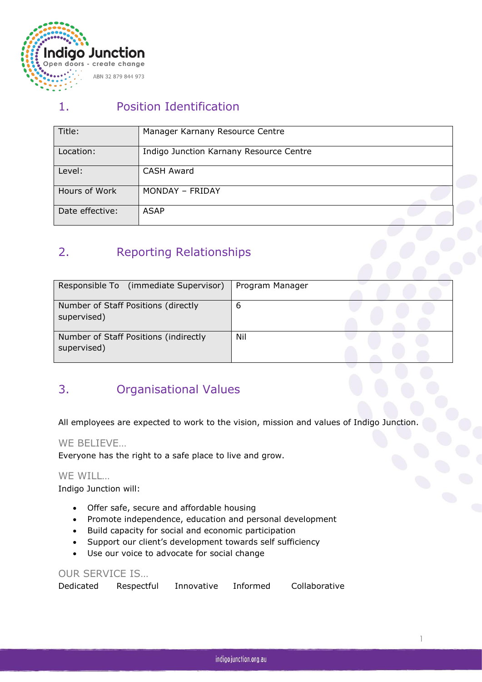

## 1. Position Identification

| Title:          | Manager Karnany Resource Centre         |
|-----------------|-----------------------------------------|
|                 |                                         |
| Location:       | Indigo Junction Karnany Resource Centre |
|                 |                                         |
| Level:          | CASH Award                              |
|                 |                                         |
| Hours of Work   | MONDAY - FRIDAY                         |
|                 |                                         |
| Date effective: | <b>ASAP</b>                             |
|                 |                                         |

# 2. Reporting Relationships

| Responsible To (immediate Supervisor)                | Program Manager |  |  |  |
|------------------------------------------------------|-----------------|--|--|--|
| Number of Staff Positions (directly<br>supervised)   | ь               |  |  |  |
| Number of Staff Positions (indirectly<br>supervised) | Nil             |  |  |  |

### 3. Organisational Values

All employees are expected to work to the vision, mission and values of Indigo Junction.

#### WE BELIEVE…

Everyone has the right to a safe place to live and grow.

#### WE WILL…

Indigo Junction will:

- Offer safe, secure and affordable housing
- Promote independence, education and personal development
- Build capacity for social and economic participation
- Support our client's development towards self sufficiency
- Use our voice to advocate for social change

#### OUR SERVICE IS…

| Dedicated | Respectful | Innovative | Informed | Collaborative |  |
|-----------|------------|------------|----------|---------------|--|
|-----------|------------|------------|----------|---------------|--|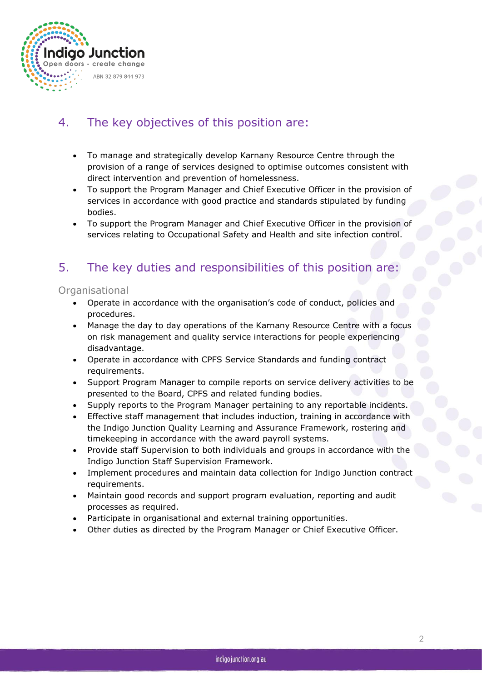

### 4. The key objectives of this position are:

- To manage and strategically develop Karnany Resource Centre through the provision of a range of services designed to optimise outcomes consistent with direct intervention and prevention of homelessness.
- To support the Program Manager and Chief Executive Officer in the provision of services in accordance with good practice and standards stipulated by funding bodies.
- To support the Program Manager and Chief Executive Officer in the provision of services relating to Occupational Safety and Health and site infection control.

## 5. The key duties and responsibilities of this position are:

#### **Organisational**

- Operate in accordance with the organisation's code of conduct, policies and procedures.
- Manage the day to day operations of the Karnany Resource Centre with a focus on risk management and quality service interactions for people experiencing disadvantage.
- Operate in accordance with CPFS Service Standards and funding contract requirements.
- Support Program Manager to compile reports on service delivery activities to be presented to the Board, CPFS and related funding bodies.
- Supply reports to the Program Manager pertaining to any reportable incidents.
- Effective staff management that includes induction, training in accordance with the Indigo Junction Quality Learning and Assurance Framework, rostering and timekeeping in accordance with the award payroll systems.
- Provide staff Supervision to both individuals and groups in accordance with the Indigo Junction Staff Supervision Framework.
- Implement procedures and maintain data collection for Indigo Junction contract requirements.
- Maintain good records and support program evaluation, reporting and audit processes as required.
- Participate in organisational and external training opportunities.
- Other duties as directed by the Program Manager or Chief Executive Officer.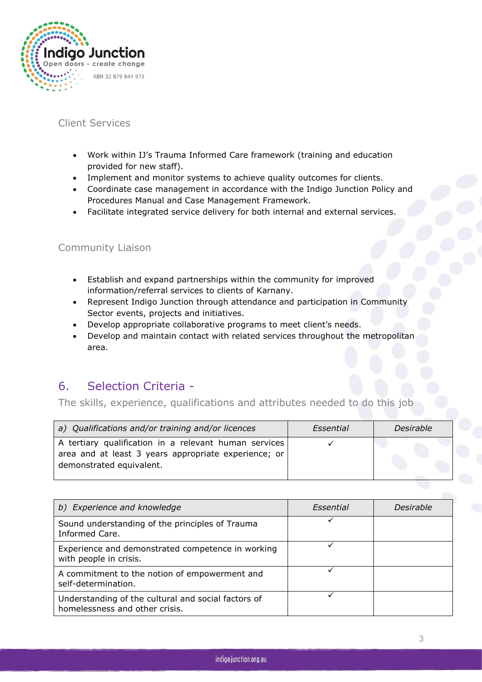

### Client Services

- Work within IJ's Trauma Informed Care framework (training and education provided for new staff).
- Implement and monitor systems to achieve quality outcomes for clients.
- Coordinate case management in accordance with the Indigo Junction Policy and Procedures Manual and Case Management Framework.
- Facilitate integrated service delivery for both internal and external services.

#### Community Liaison

- Establish and expand partnerships within the community for improved information/referral services to clients of Karnany.
- Represent Indigo Junction through attendance and participation in Community Sector events, projects and initiatives.
- Develop appropriate collaborative programs to meet client's needs.
- Develop and maintain contact with related services throughout the metropolitan area.

### 6. Selection Criteria -

The skills, experience, qualifications and attributes needed to do this job

| a) Qualifications and/or training and/or licences                                                             | Essential | Desirable |  |
|---------------------------------------------------------------------------------------------------------------|-----------|-----------|--|
| A tertiary qualification in a relevant human services<br>area and at least 3 years appropriate experience; or |           |           |  |
| demonstrated equivalent.                                                                                      |           |           |  |

| b) Experience and knowledge                                                           | Essential | <i>Desirable</i> |
|---------------------------------------------------------------------------------------|-----------|------------------|
| Sound understanding of the principles of Trauma<br>Informed Care.                     |           |                  |
| Experience and demonstrated competence in working<br>with people in crisis.           |           |                  |
| A commitment to the notion of empowerment and<br>self-determination.                  |           |                  |
| Understanding of the cultural and social factors of<br>homelessness and other crisis. |           |                  |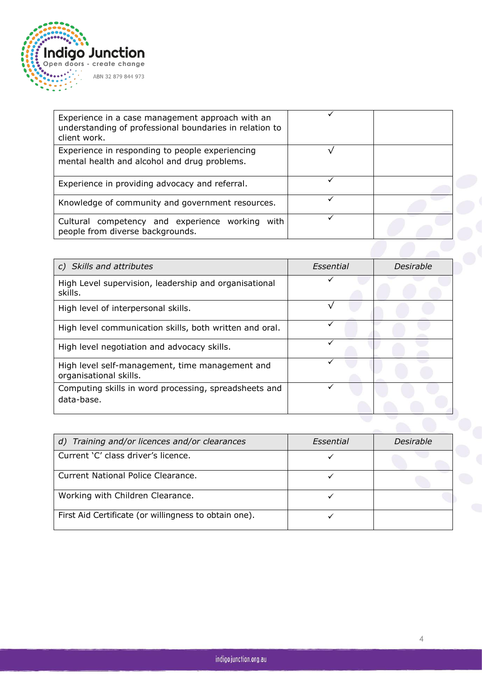

| Experience in a case management approach with an<br>understanding of professional boundaries in relation to<br>client work. |  |
|-----------------------------------------------------------------------------------------------------------------------------|--|
| Experience in responding to people experiencing<br>mental health and alcohol and drug problems.                             |  |
| Experience in providing advocacy and referral.                                                                              |  |
| Knowledge of community and government resources.                                                                            |  |
| Cultural competency and experience working with<br>people from diverse backgrounds.                                         |  |

| c) Skills and attributes                                                  | Essential | Desirable |
|---------------------------------------------------------------------------|-----------|-----------|
| High Level supervision, leadership and organisational<br>skills.          |           |           |
| High level of interpersonal skills.                                       |           |           |
| High level communication skills, both written and oral.                   |           |           |
| High level negotiation and advocacy skills.                               | ✓         |           |
| High level self-management, time management and<br>organisational skills. |           |           |
| Computing skills in word processing, spreadsheets and<br>data-base.       |           |           |
|                                                                           |           |           |

| d) Training and/or licences and/or clearances         | Essential | <b>Desirable</b> |  |
|-------------------------------------------------------|-----------|------------------|--|
| Current 'C' class driver's licence.                   |           |                  |  |
| Current National Police Clearance.                    |           |                  |  |
| Working with Children Clearance.                      |           |                  |  |
| First Aid Certificate (or willingness to obtain one). |           |                  |  |